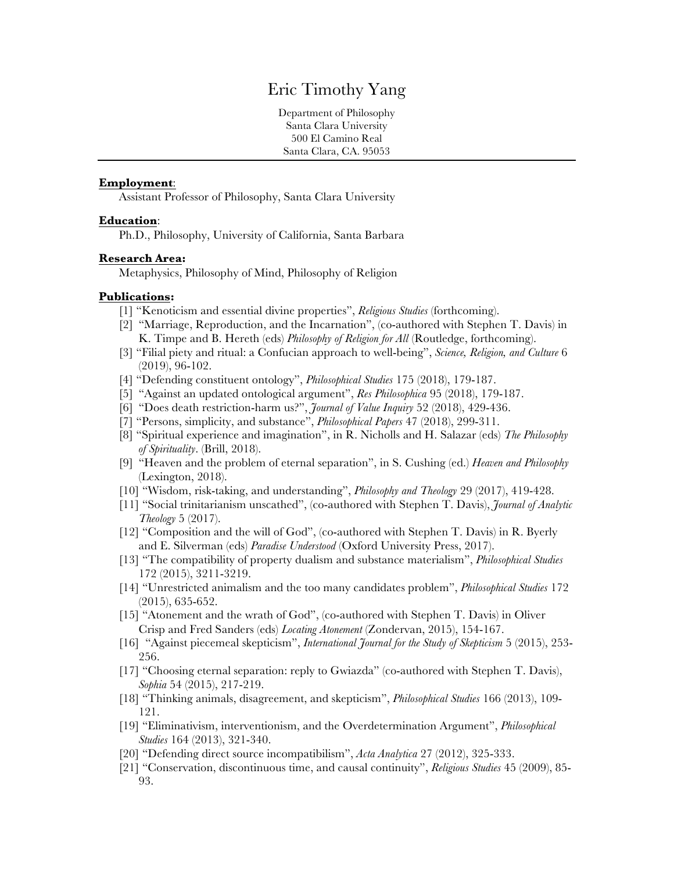# Eric Timothy Yang

Department of Philosophy Santa Clara University 500 El Camino Real Santa Clara, CA. 95053

### **Employment**:

Assistant Professor of Philosophy, Santa Clara University

### **Education**:

Ph.D., Philosophy, University of California, Santa Barbara

#### **Research Area:**

Metaphysics, Philosophy of Mind, Philosophy of Religion

### **Publications:**

- [1] "Kenoticism and essential divine properties", *Religious Studies* (forthcoming).
- [2] "Marriage, Reproduction, and the Incarnation", (co-authored with Stephen T. Davis) in K. Timpe and B. Hereth (eds) *Philosophy of Religion for All* (Routledge, forthcoming).
- [3] "Filial piety and ritual: a Confucian approach to well-being", *Science, Religion, and Culture* 6 (2019), 96-102.
- [4] "Defending constituent ontology", *Philosophical Studies* 175 (2018), 179-187.
- [5] "Against an updated ontological argument", *Res Philosophica* 95 (2018), 179-187.
- [6] "Does death restriction-harm us?", *Journal of Value Inquiry* 52 (2018), 429-436.
- [7] "Persons, simplicity, and substance", *Philosophical Papers* 47 (2018), 299-311.
- [8] "Spiritual experience and imagination", in R. Nicholls and H. Salazar (eds) *The Philosophy of Spirituality*. (Brill, 2018).
- [9] "Heaven and the problem of eternal separation", in S. Cushing (ed.) *Heaven and Philosophy* (Lexington, 2018).
- [10] "Wisdom, risk-taking, and understanding", *Philosophy and Theology* 29 (2017), 419-428.
- [11] "Social trinitarianism unscathed", (co-authored with Stephen T. Davis), *Journal of Analytic Theology* 5 (2017).
- [12] "Composition and the will of God", (co-authored with Stephen T. Davis) in R. Byerly and E. Silverman (eds) *Paradise Understood* (Oxford University Press, 2017).
- [13] "The compatibility of property dualism and substance materialism", *Philosophical Studies* 172 (2015), 3211-3219.
- [14] "Unrestricted animalism and the too many candidates problem", *Philosophical Studies* 172 (2015), 635-652.
- [15] "Atonement and the wrath of God", (co-authored with Stephen T. Davis) in Oliver Crisp and Fred Sanders (eds) *Locating Atonement* (Zondervan, 2015), 154-167.
- [16] "Against piecemeal skepticism", *International Journal for the Study of Skepticism* 5 (2015), 253- 256.
- [17] "Choosing eternal separation: reply to Gwiazda" (co-authored with Stephen T. Davis), *Sophia* 54 (2015), 217-219.
- [18] "Thinking animals, disagreement, and skepticism", *Philosophical Studies* 166 (2013), 109- 121.
- [19] "Eliminativism, interventionism, and the Overdetermination Argument", *Philosophical Studies* 164 (2013), 321-340.
- [20] "Defending direct source incompatibilism", *Acta Analytica* 27 (2012), 325-333.
- [21] "Conservation, discontinuous time, and causal continuity", *Religious Studies* 45 (2009), 85- 93.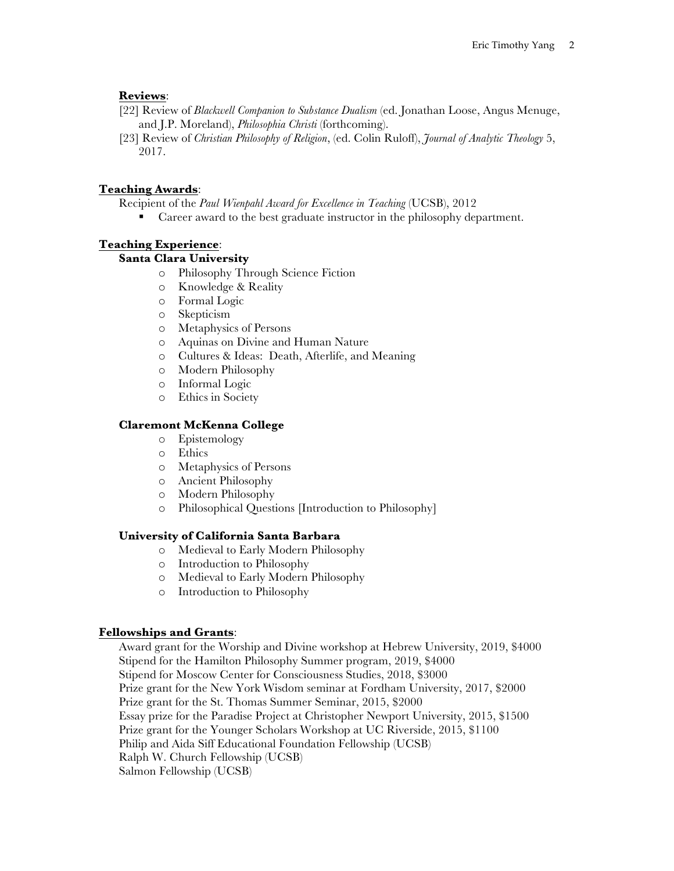# **Reviews**:

- [22] Review of *Blackwell Companion to Substance Dualism* (ed. Jonathan Loose, Angus Menuge, and J.P. Moreland), *Philosophia Christi* (forthcoming).
- [23] Review of *Christian Philosophy of Religion*, (ed. Colin Ruloff), *Journal of Analytic Theology* 5, 2017.

# **Teaching Awards**:

Recipient of the *Paul Wienpahl Award for Excellence in Teaching* (UCSB), 2012

■ Career award to the best graduate instructor in the philosophy department.

# **Teaching Experience**:

# **Santa Clara University**

- o Philosophy Through Science Fiction
- o Knowledge & Reality
- o Formal Logic
- o Skepticism
- o Metaphysics of Persons
- o Aquinas on Divine and Human Nature
- o Cultures & Ideas: Death, Afterlife, and Meaning
- o Modern Philosophy
- o Informal Logic
- o Ethics in Society

# **Claremont McKenna College**

- o Epistemology
- o Ethics
- o Metaphysics of Persons
- o Ancient Philosophy
- o Modern Philosophy
- o Philosophical Questions [Introduction to Philosophy]

# **University of California Santa Barbara**

- o Medieval to Early Modern Philosophy
- o Introduction to Philosophy
- o Medieval to Early Modern Philosophy
- o Introduction to Philosophy

# **Fellowships and Grants**:

Award grant for the Worship and Divine workshop at Hebrew University, 2019, \$4000 Stipend for the Hamilton Philosophy Summer program, 2019, \$4000 Stipend for Moscow Center for Consciousness Studies, 2018, \$3000 Prize grant for the New York Wisdom seminar at Fordham University, 2017, \$2000 Prize grant for the St. Thomas Summer Seminar, 2015, \$2000 Essay prize for the Paradise Project at Christopher Newport University, 2015, \$1500 Prize grant for the Younger Scholars Workshop at UC Riverside, 2015, \$1100 Philip and Aida Siff Educational Foundation Fellowship (UCSB) Ralph W. Church Fellowship (UCSB) Salmon Fellowship (UCSB)